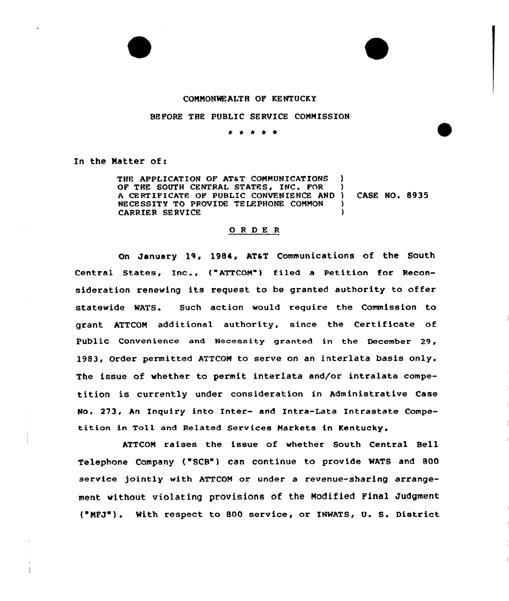# COMMONWEALTH OF KENTUCKY

# BEFORE THE PUBLIC SERVICE COMMISSION

### \* \* \* \* \*

In the Natter of:

THE APPLICATION OF AT&T COMMUNICATIONS OF THE SOUTH CENTRAL STATES, INC. FOR A CERTIFICATE OF PUBLIC CONVENIENCE AND )<br>NECESSITY TO PROVIDE TELEPHONE COMMON ) NECESSITY TO PROVIDE TELEPHONE COMMON CARRIER SERVICE CASE NO. 8935

## 0 <sup>R</sup> <sup>D</sup> E <sup>R</sup>

On January 19, 1984, ATaT Communications of the South Central States, Inc., {"ATTCOM") filed <sup>a</sup> Petition for Reconsideration renewing its request to be granted authority to offer statewide WATS. Such action would require the Commission to grant ATTCOM additional authority, since the Certificate of Public convenience and Necessity granted in the December 29, )983, Order permitted ATTCOM to serve on an interlata basis only. The issue of whether to permit interlata and/or intralata competition is currently under consideration in Administrative Case No. 273, An Inquiry into Inter- and Intra-Lata Intrastate Competition in Toll and Related Services Markets in Kentucky.

ATTCOM raises the issue of whether South Central Bell Telephone company {"scB") can continue to provide wATs and 800 service jointly with ATTCOM or under a revenue-sharing arrangement without violating provisions of the Modified Final Judgment ("MFJ"). With respect to 800 service, or INWATS, U. S. District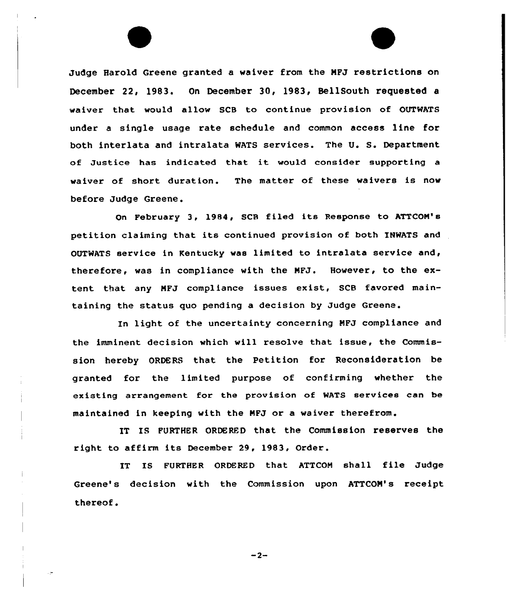Judge Harold Greene granted a waiver from the NFJ restrictions on December 22, 1983. On December 30, 1983, BellSouth requested a waiver that would allow SCB to continue provision of OUTWATS under a single usage rate schedule and common access line for both interlata and intralata WATS services. The U. S. Department of Justice has indicated that it would consider supporting <sup>a</sup> waiver of short duration. The matter of these waivers is now before Judge Greene.

On February 3, 1984, SCB filed its Response to ATTCON's petition claiming that its continued provision of both INWATS and OUTWATS service in Kentucky was limited to intralata service and, therefore, was in compliance with the NFJ. However, to the extent that any NFJ compliance issues exist, SCB favored maintaining the status quo pending a decision by Judge Greene.

In light of the uncertainty concerning NFJ compliance and the imminent decision which will resolve that issue, the Commission hereby ORDERS that the Petition for Reconsideration be granted for the limited purpose of confirming whether the existing arrangement for the provision of WATS services can be maintained in keeping with the NFJ or a waiver therefrom.

IT IS FURTHER ORDERED that the Commission reserves the right to affirm its December 29, 1983, Order.

IT IS FURTHER ORDERED that ATTCON shall file Judge Greene's decision with the Commission upon ATTCON's receipt thereof.

$$
-2-
$$